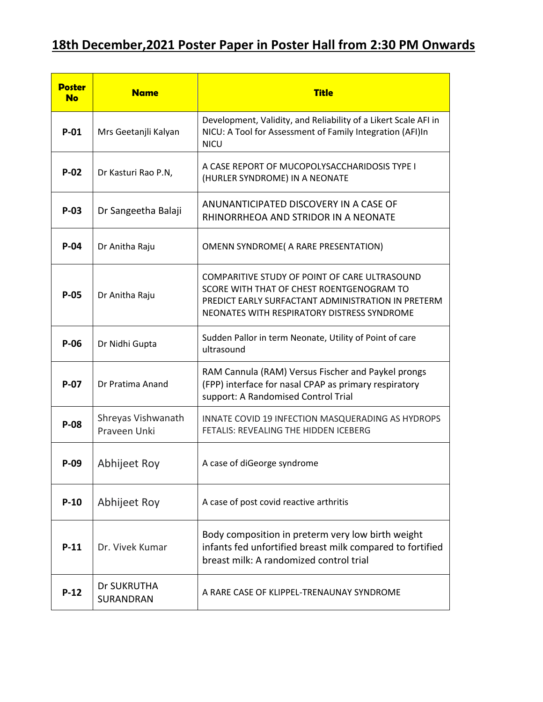## **18th December,2021 Poster Paper in Poster Hall from 2:30 PM Onwards**

| <b>Poster</b><br><b>No</b> | <b>Name</b>                        | <b>Title</b>                                                                                                                                                                                    |
|----------------------------|------------------------------------|-------------------------------------------------------------------------------------------------------------------------------------------------------------------------------------------------|
| $P-01$                     | Mrs Geetanjli Kalyan               | Development, Validity, and Reliability of a Likert Scale AFI in<br>NICU: A Tool for Assessment of Family Integration (AFI)In<br><b>NICU</b>                                                     |
| $P-02$                     | Dr Kasturi Rao P.N,                | A CASE REPORT OF MUCOPOLYSACCHARIDOSIS TYPE I<br>(HURLER SYNDROME) IN A NEONATE                                                                                                                 |
| $P-03$                     | Dr Sangeetha Balaji                | ANUNANTICIPATED DISCOVERY IN A CASE OF<br>RHINORRHEOA AND STRIDOR IN A NEONATE                                                                                                                  |
| $P-04$                     | Dr Anitha Raju                     | OMENN SYNDROME( A RARE PRESENTATION)                                                                                                                                                            |
| $P-05$                     | Dr Anitha Raju                     | COMPARITIVE STUDY OF POINT OF CARE ULTRASOUND<br>SCORE WITH THAT OF CHEST ROENTGENOGRAM TO<br>PREDICT EARLY SURFACTANT ADMINISTRATION IN PRETERM<br>NEONATES WITH RESPIRATORY DISTRESS SYNDROME |
| P-06                       | Dr Nidhi Gupta                     | Sudden Pallor in term Neonate, Utility of Point of care<br>ultrasound                                                                                                                           |
| $P-07$                     | Dr Pratima Anand                   | RAM Cannula (RAM) Versus Fischer and Paykel prongs<br>(FPP) interface for nasal CPAP as primary respiratory<br>support: A Randomised Control Trial                                              |
| P-08                       | Shreyas Vishwanath<br>Praveen Unki | INNATE COVID 19 INFECTION MASQUERADING AS HYDROPS<br>FETALIS: REVEALING THE HIDDEN ICEBERG                                                                                                      |
| $P-09$                     | Abhijeet Roy                       | A case of diGeorge syndrome                                                                                                                                                                     |
| $P-10$                     | Abhijeet Roy                       | A case of post covid reactive arthritis                                                                                                                                                         |
| $P-11$                     | Dr. Vivek Kumar                    | Body composition in preterm very low birth weight<br>infants fed unfortified breast milk compared to fortified<br>breast milk: A randomized control trial                                       |
| $P-12$                     | Dr SUKRUTHA<br>SURANDRAN           | A RARE CASE OF KLIPPEL-TRENAUNAY SYNDROME                                                                                                                                                       |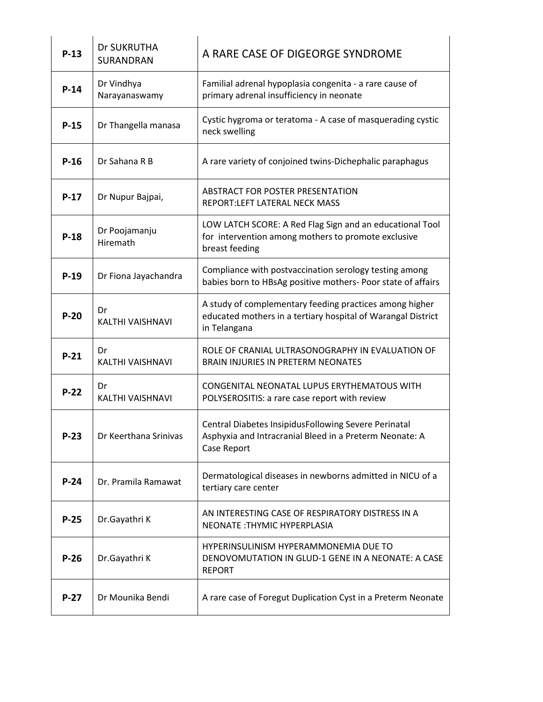| $P-13$ | Dr SUKRUTHA<br><b>SURANDRAN</b> | A RARE CASE OF DIGEORGE SYNDROME                                                                                                        |
|--------|---------------------------------|-----------------------------------------------------------------------------------------------------------------------------------------|
| $P-14$ | Dr Vindhya<br>Narayanaswamy     | Familial adrenal hypoplasia congenita - a rare cause of<br>primary adrenal insufficiency in neonate                                     |
| $P-15$ | Dr Thangella manasa             | Cystic hygroma or teratoma - A case of masquerading cystic<br>neck swelling                                                             |
| $P-16$ | Dr Sahana R B                   | A rare variety of conjoined twins-Dichephalic paraphagus                                                                                |
| $P-17$ | Dr Nupur Bajpai,                | ABSTRACT FOR POSTER PRESENTATION<br>REPORT:LEFT LATERAL NECK MASS                                                                       |
| $P-18$ | Dr Poojamanju<br>Hiremath       | LOW LATCH SCORE: A Red Flag Sign and an educational Tool<br>for intervention among mothers to promote exclusive<br>breast feeding       |
| $P-19$ | Dr Fiona Jayachandra            | Compliance with postvaccination serology testing among<br>babies born to HBsAg positive mothers- Poor state of affairs                  |
| $P-20$ | Dr<br><b>KALTHI VAISHNAVI</b>   | A study of complementary feeding practices among higher<br>educated mothers in a tertiary hospital of Warangal District<br>in Telangana |
| $P-21$ | Dr<br>KALTHI VAISHNAVI          | ROLE OF CRANIAL ULTRASONOGRAPHY IN EVALUATION OF<br><b>BRAIN INJURIES IN PRETERM NEONATES</b>                                           |
| $P-22$ | Dr<br>KALTHI VAISHNAVI          | CONGENITAL NEONATAL LUPUS ERYTHEMATOUS WITH<br>POLYSEROSITIS: a rare case report with review                                            |
| $P-23$ | Dr Keerthana Srinivas           | Central Diabetes InsipidusFollowing Severe Perinatal<br>Asphyxia and Intracranial Bleed in a Preterm Neonate: A<br>Case Report          |
| $P-24$ | Dr. Pramila Ramawat             | Dermatological diseases in newborns admitted in NICU of a<br>tertiary care center                                                       |
| $P-25$ | Dr.Gayathri K                   | AN INTERESTING CASE OF RESPIRATORY DISTRESS IN A<br>NEONATE: THYMIC HYPERPLASIA                                                         |
| $P-26$ | Dr.Gayathri K                   | HYPERINSULINISM HYPERAMMONEMIA DUE TO<br>DENOVOMUTATION IN GLUD-1 GENE IN A NEONATE: A CASE<br><b>REPORT</b>                            |
| $P-27$ | Dr Mounika Bendi                | A rare case of Foregut Duplication Cyst in a Preterm Neonate                                                                            |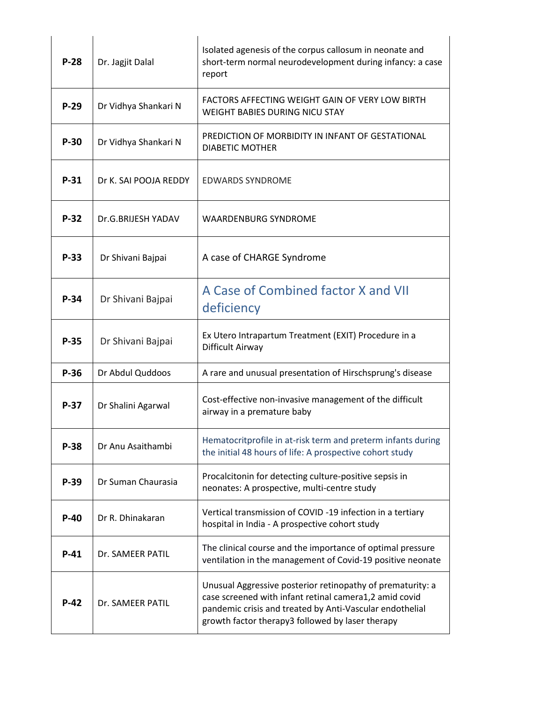|        |                       | Isolated agenesis of the corpus callosum in neonate and                                                                                                                                                                              |
|--------|-----------------------|--------------------------------------------------------------------------------------------------------------------------------------------------------------------------------------------------------------------------------------|
| $P-28$ | Dr. Jagjit Dalal      | short-term normal neurodevelopment during infancy: a case<br>report                                                                                                                                                                  |
| $P-29$ | Dr Vidhya Shankari N  | FACTORS AFFECTING WEIGHT GAIN OF VERY LOW BIRTH<br><b>WEIGHT BABIES DURING NICU STAY</b>                                                                                                                                             |
| $P-30$ | Dr Vidhya Shankari N  | PREDICTION OF MORBIDITY IN INFANT OF GESTATIONAL<br><b>DIABETIC MOTHER</b>                                                                                                                                                           |
| $P-31$ | Dr K. SAI POOJA REDDY | <b>EDWARDS SYNDROME</b>                                                                                                                                                                                                              |
| $P-32$ | Dr.G.BRIJESH YADAV    | <b>WAARDENBURG SYNDROME</b>                                                                                                                                                                                                          |
| $P-33$ | Dr Shivani Bajpai     | A case of CHARGE Syndrome                                                                                                                                                                                                            |
| $P-34$ | Dr Shivani Bajpai     | A Case of Combined factor X and VII<br>deficiency                                                                                                                                                                                    |
| $P-35$ | Dr Shivani Bajpai     | Ex Utero Intrapartum Treatment (EXIT) Procedure in a<br>Difficult Airway                                                                                                                                                             |
| $P-36$ | Dr Abdul Quddoos      | A rare and unusual presentation of Hirschsprung's disease                                                                                                                                                                            |
| $P-37$ | Dr Shalini Agarwal    | Cost-effective non-invasive management of the difficult<br>airway in a premature baby                                                                                                                                                |
| $P-38$ | Dr Anu Asaithambi     | Hematocritprofile in at-risk term and preterm infants during<br>the initial 48 hours of life: A prospective cohort study                                                                                                             |
| $P-39$ | Dr Suman Chaurasia    | Procalcitonin for detecting culture-positive sepsis in<br>neonates: A prospective, multi-centre study                                                                                                                                |
| $P-40$ | Dr R. Dhinakaran      | Vertical transmission of COVID -19 infection in a tertiary<br>hospital in India - A prospective cohort study                                                                                                                         |
| $P-41$ | Dr. SAMEER PATIL      | The clinical course and the importance of optimal pressure<br>ventilation in the management of Covid-19 positive neonate                                                                                                             |
| $P-42$ | Dr. SAMEER PATIL      | Unusual Aggressive posterior retinopathy of prematurity: a<br>case screened with infant retinal camera1,2 amid covid<br>pandemic crisis and treated by Anti-Vascular endothelial<br>growth factor therapy3 followed by laser therapy |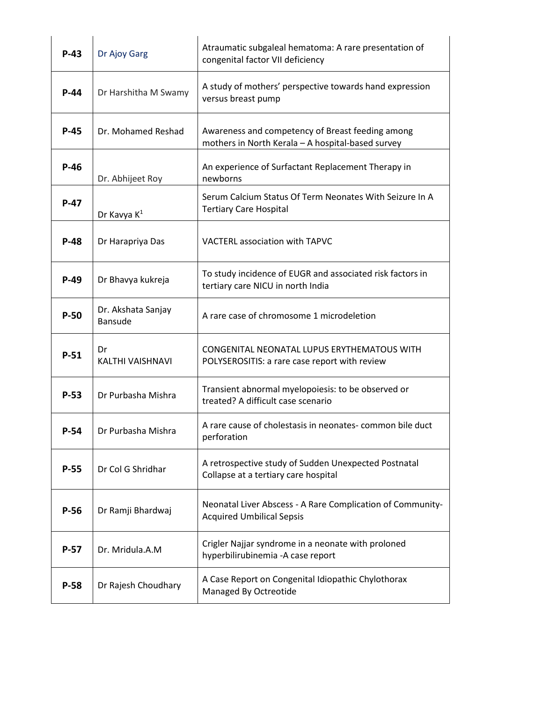| $P-43$ | Dr Ajoy Garg                         | Atraumatic subgaleal hematoma: A rare presentation of<br>congenital factor VII deficiency             |
|--------|--------------------------------------|-------------------------------------------------------------------------------------------------------|
| $P-44$ | Dr Harshitha M Swamy                 | A study of mothers' perspective towards hand expression<br>versus breast pump                         |
| $P-45$ | Dr. Mohamed Reshad                   | Awareness and competency of Breast feeding among<br>mothers in North Kerala - A hospital-based survey |
| $P-46$ | Dr. Abhijeet Roy                     | An experience of Surfactant Replacement Therapy in<br>newborns                                        |
| $P-47$ | Dr Kavya K <sup>1</sup>              | Serum Calcium Status Of Term Neonates With Seizure In A<br><b>Tertiary Care Hospital</b>              |
| $P-48$ | Dr Harapriya Das                     | VACTERL association with TAPVC                                                                        |
| $P-49$ | Dr Bhavya kukreja                    | To study incidence of EUGR and associated risk factors in<br>tertiary care NICU in north India        |
| $P-50$ | Dr. Akshata Sanjay<br><b>Bansude</b> | A rare case of chromosome 1 microdeletion                                                             |
| $P-51$ | Dr<br>KALTHI VAISHNAVI               | CONGENITAL NEONATAL LUPUS ERYTHEMATOUS WITH<br>POLYSEROSITIS: a rare case report with review          |
| $P-53$ | Dr Purbasha Mishra                   | Transient abnormal myelopoiesis: to be observed or<br>treated? A difficult case scenario              |
| $P-54$ | Dr Purbasha Mishra                   | A rare cause of cholestasis in neonates- common bile duct<br>perforation                              |
| P-55   | Dr Col G Shridhar                    | A retrospective study of Sudden Unexpected Postnatal<br>Collapse at a tertiary care hospital          |
| $P-56$ | Dr Ramji Bhardwaj                    | Neonatal Liver Abscess - A Rare Complication of Community-<br><b>Acquired Umbilical Sepsis</b>        |
| $P-57$ | Dr. Mridula.A.M                      | Crigler Najjar syndrome in a neonate with proloned<br>hyperbilirubinemia - A case report              |
| $P-58$ | Dr Rajesh Choudhary                  | A Case Report on Congenital Idiopathic Chylothorax<br>Managed By Octreotide                           |